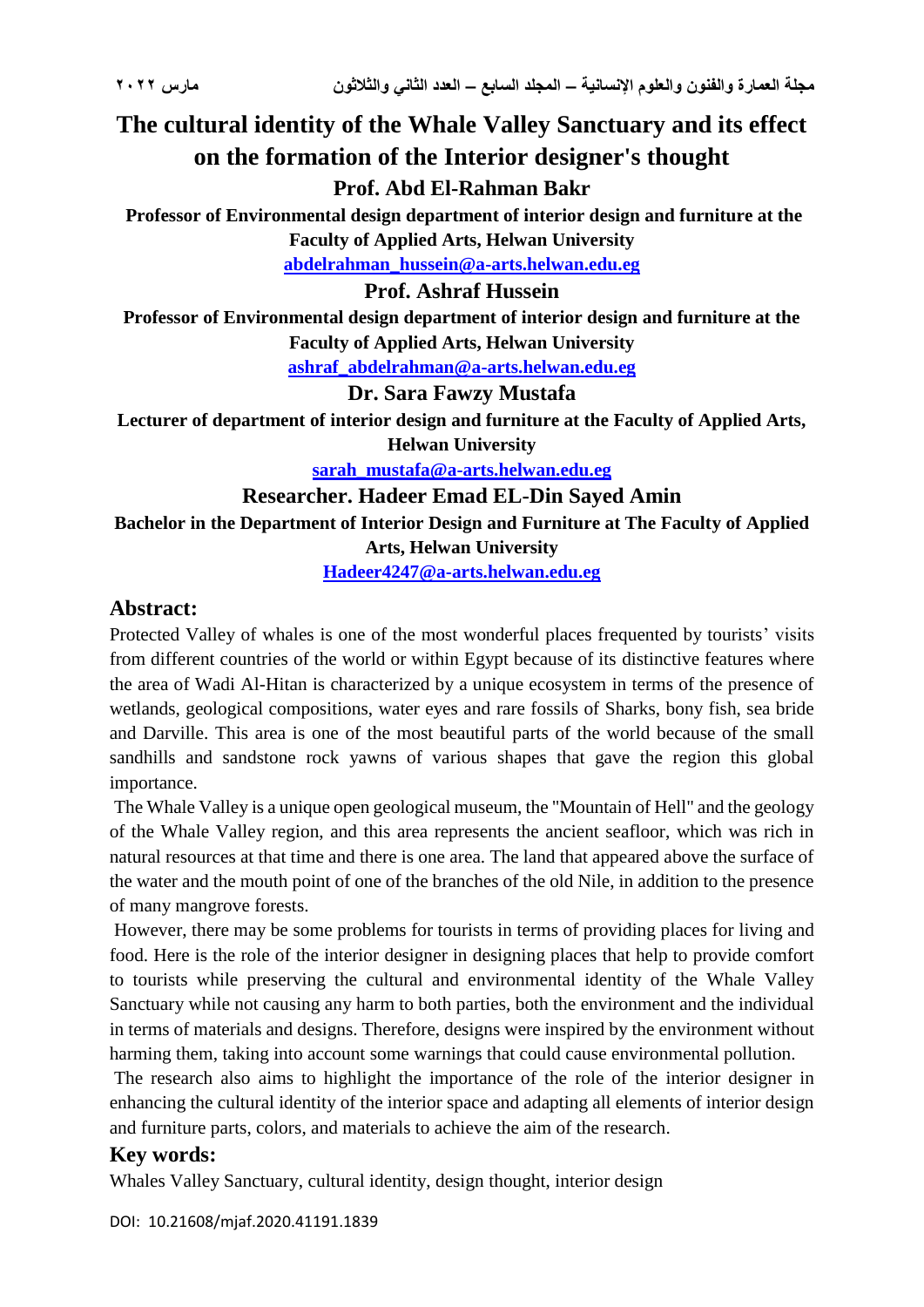# **The cultural identity of the Whale Valley Sanctuary and its effect on the formation of the Interior designer's thought**

# **Prof. Abd El-Rahman Bakr**

**Professor of Environmental design department of interior design and furniture at the Faculty of Applied Arts, Helwan University**

**[abdelrahman\\_hussein@a-arts.helwan.edu.eg](mailto:abdelrahman_hussein@a-arts.helwan.edu.eg)**

### **Prof. Ashraf Hussein**

**Professor of Environmental design department of interior design and furniture at the Faculty of Applied Arts, Helwan University**

**[ashraf\\_abdelrahman@a-arts.helwan.edu.eg](mailto:ashraf_abdelrahman@a-arts.helwan.edu.eg)**

#### **Dr. Sara Fawzy Mustafa**

**Lecturer of department of interior design and furniture at the Faculty of Applied Arts, Helwan University**

**sarah\_mustafa@a-arts.helwan.edu.eg**

#### **Researcher. Hadeer Emad EL-Din Sayed Amin**

**Bachelor in the Department of Interior Design and Furniture at The Faculty of Applied** 

**Arts, Helwan University**

**[Hadeer4247@a-arts.helwan.edu.eg](mailto:Hadeer4247@a-arts.helwan.edu.eg)**

### **Abstract:**

Protected Valley of whales is one of the most wonderful places frequented by tourists' visits from different countries of the world or within Egypt because of its distinctive features where the area of Wadi Al-Hitan is characterized by a unique ecosystem in terms of the presence of wetlands, geological compositions, water eyes and rare fossils of Sharks, bony fish, sea bride and Darville. This area is one of the most beautiful parts of the world because of the small sandhills and sandstone rock yawns of various shapes that gave the region this global importance.

The Whale Valley is a unique open geological museum, the "Mountain of Hell" and the geology of the Whale Valley region, and this area represents the ancient seafloor, which was rich in natural resources at that time and there is one area. The land that appeared above the surface of the water and the mouth point of one of the branches of the old Nile, in addition to the presence of many mangrove forests.

However, there may be some problems for tourists in terms of providing places for living and food. Here is the role of the interior designer in designing places that help to provide comfort to tourists while preserving the cultural and environmental identity of the Whale Valley Sanctuary while not causing any harm to both parties, both the environment and the individual in terms of materials and designs. Therefore, designs were inspired by the environment without harming them, taking into account some warnings that could cause environmental pollution.

The research also aims to highlight the importance of the role of the interior designer in enhancing the cultural identity of the interior space and adapting all elements of interior design and furniture parts, colors, and materials to achieve the aim of the research.

# **Key words:**

Whales Valley Sanctuary, cultural identity, design thought, interior design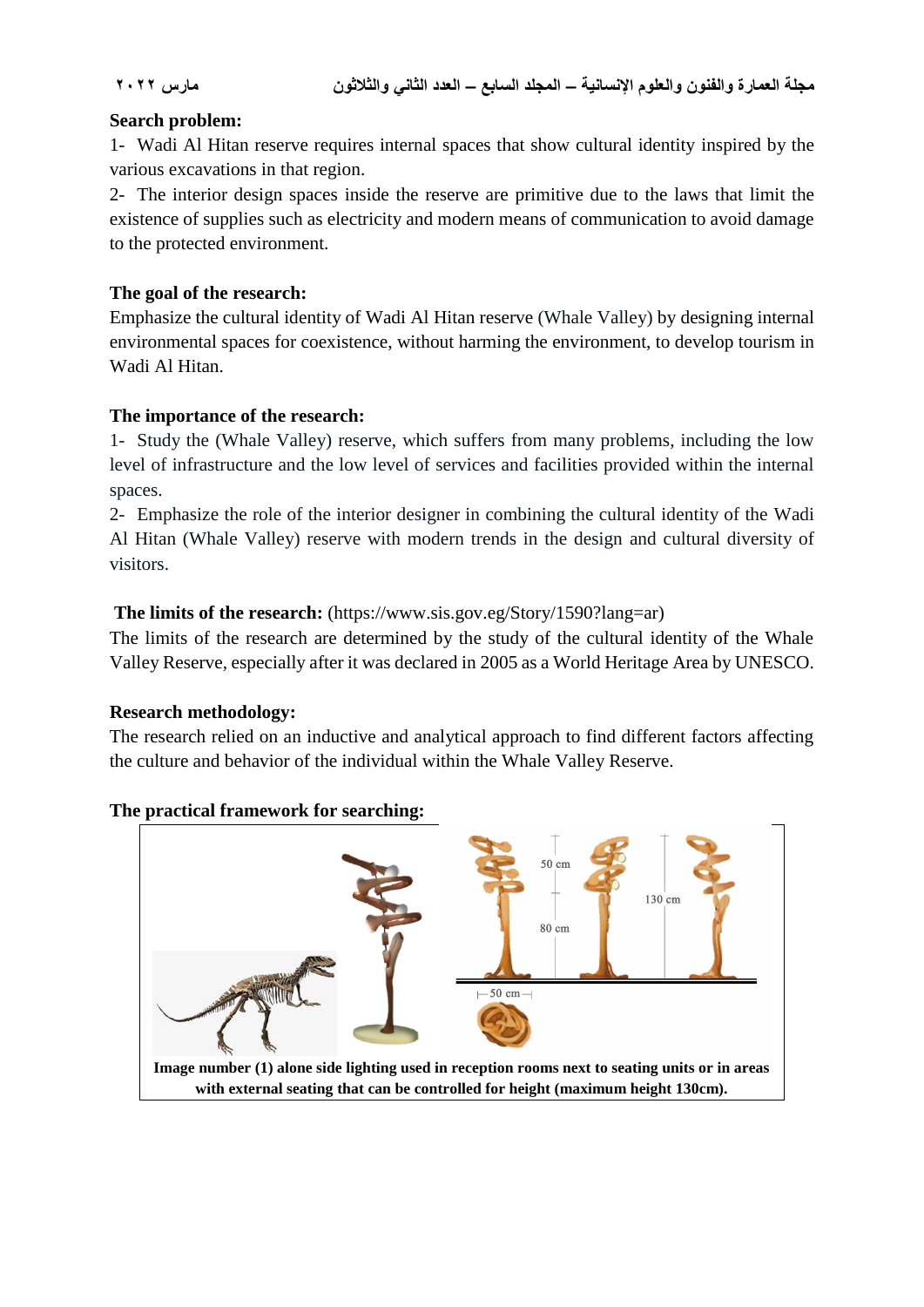#### **Search problem:**

1- Wadi Al Hitan reserve requires internal spaces that show cultural identity inspired by the various excavations in that region.

2- The interior design spaces inside the reserve are primitive due to the laws that limit the existence of supplies such as electricity and modern means of communication to avoid damage to the protected environment.

#### **The goal of the research:**

Emphasize the cultural identity of Wadi Al Hitan reserve (Whale Valley) by designing internal environmental spaces for coexistence, without harming the environment, to develop tourism in Wadi Al Hitan.

### **The importance of the research:**

1- Study the (Whale Valley) reserve, which suffers from many problems, including the low level of infrastructure and the low level of services and facilities provided within the internal spaces.

2- Emphasize the role of the interior designer in combining the cultural identity of the Wadi Al Hitan (Whale Valley) reserve with modern trends in the design and cultural diversity of visitors.

### **The limits of the research:** (https://www.sis.gov.eg/Story/1590?lang=ar)

The limits of the research are determined by the study of the cultural identity of the Whale Valley Reserve, especially after it was declared in 2005 as a World Heritage Area by UNESCO.

#### **Research methodology:**

The research relied on an inductive and analytical approach to find different factors affecting the culture and behavior of the individual within the Whale Valley Reserve.

#### **The practical framework for searching:**



**with external seating that can be controlled for height (maximum height 130cm).**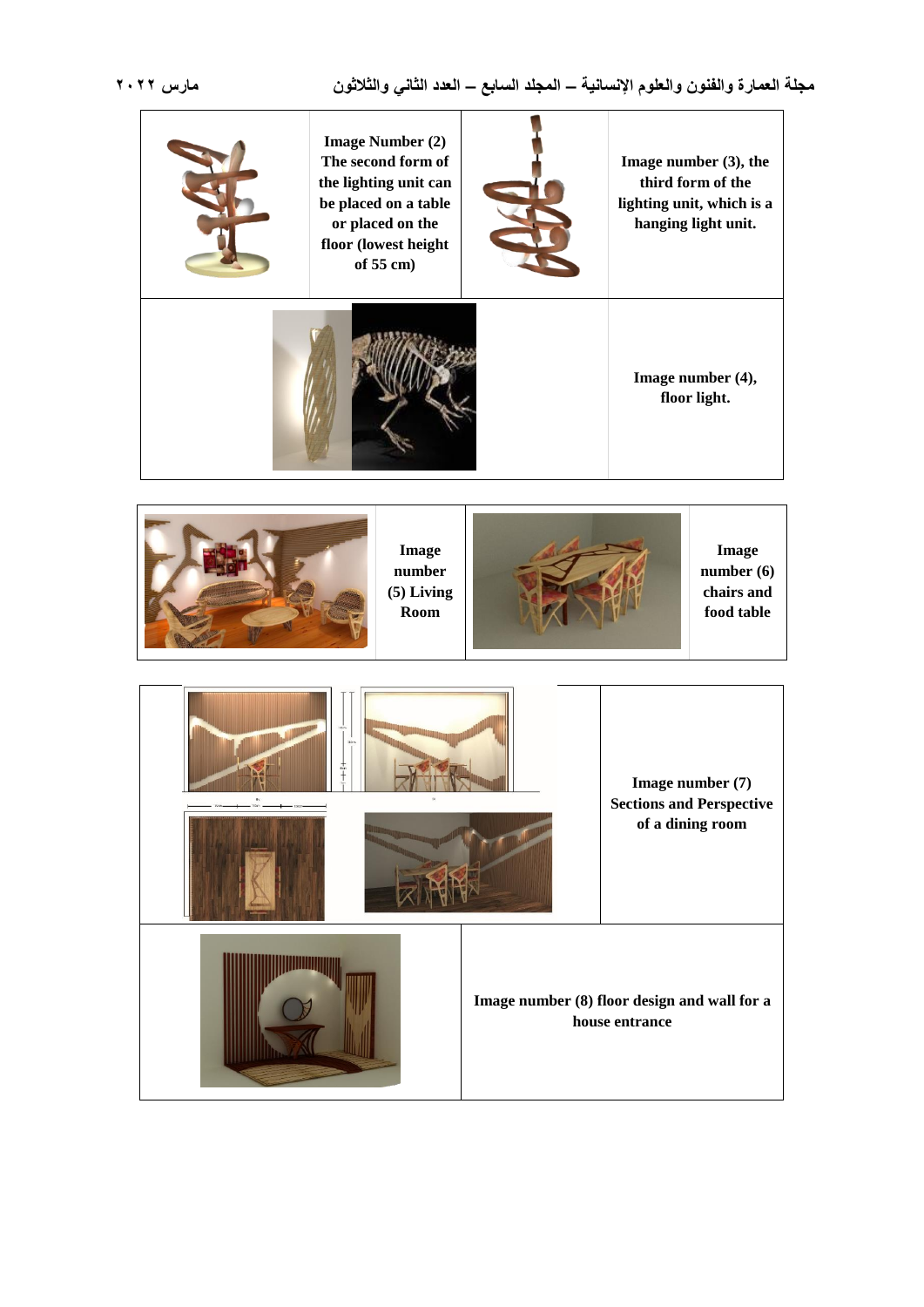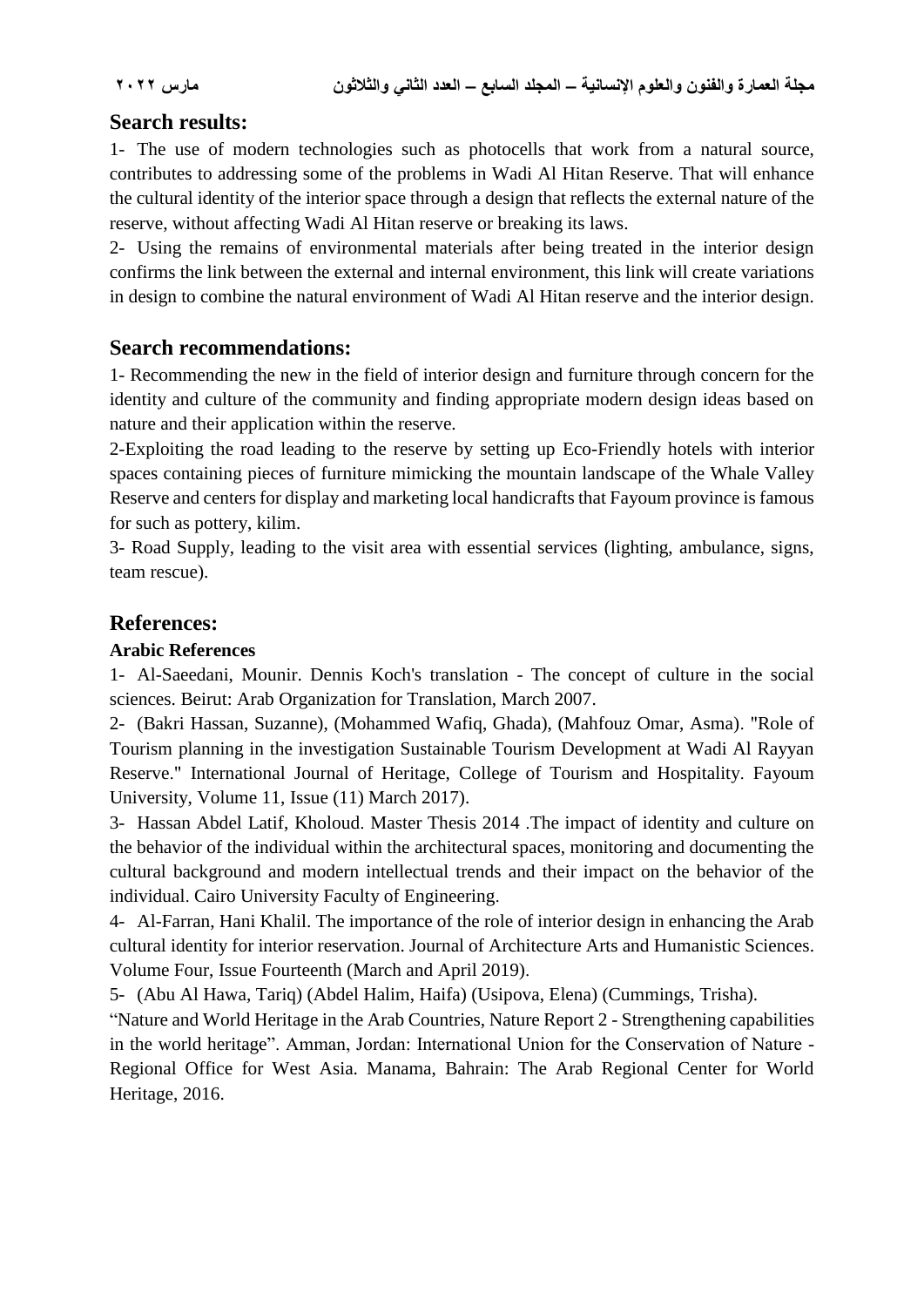### **Search results:**

1- The use of modern technologies such as photocells that work from a natural source, contributes to addressing some of the problems in Wadi Al Hitan Reserve. That will enhance the cultural identity of the interior space through a design that reflects the external nature of the reserve, without affecting Wadi Al Hitan reserve or breaking its laws.

2- Using the remains of environmental materials after being treated in the interior design confirms the link between the external and internal environment, this link will create variations in design to combine the natural environment of Wadi Al Hitan reserve and the interior design.

### **Search recommendations:**

1- Recommending the new in the field of interior design and furniture through concern for the identity and culture of the community and finding appropriate modern design ideas based on nature and their application within the reserve.

2-Exploiting the road leading to the reserve by setting up Eco-Friendly hotels with interior spaces containing pieces of furniture mimicking the mountain landscape of the Whale Valley Reserve and centers for display and marketing local handicrafts that Fayoum province is famous for such as pottery, kilim.

3- Road Supply, leading to the visit area with essential services (lighting, ambulance, signs, team rescue).

# **References:**

#### **Arabic References**

1- Al-Saeedani, Mounir. Dennis Koch's translation - The concept of culture in the social sciences. Beirut: Arab Organization for Translation, March 2007.

2- (Bakri Hassan, Suzanne), (Mohammed Wafiq, Ghada), (Mahfouz Omar, Asma). "Role of Tourism planning in the investigation Sustainable Tourism Development at Wadi Al Rayyan Reserve." International Journal of Heritage, College of Tourism and Hospitality. Fayoum University, Volume 11, Issue (11) March 2017).

3- Hassan Abdel Latif, Kholoud. Master Thesis 2014 .The impact of identity and culture on the behavior of the individual within the architectural spaces, monitoring and documenting the cultural background and modern intellectual trends and their impact on the behavior of the individual. Cairo University Faculty of Engineering.

4- Al-Farran, Hani Khalil. The importance of the role of interior design in enhancing the Arab cultural identity for interior reservation. Journal of Architecture Arts and Humanistic Sciences. Volume Four, Issue Fourteenth (March and April 2019).

5- (Abu Al Hawa, Tariq) (Abdel Halim, Haifa) (Usipova, Elena) (Cummings, Trisha).

"Nature and World Heritage in the Arab Countries, Nature Report 2 - Strengthening capabilities in the world heritage". Amman, Jordan: International Union for the Conservation of Nature - Regional Office for West Asia. Manama, Bahrain: The Arab Regional Center for World Heritage, 2016.